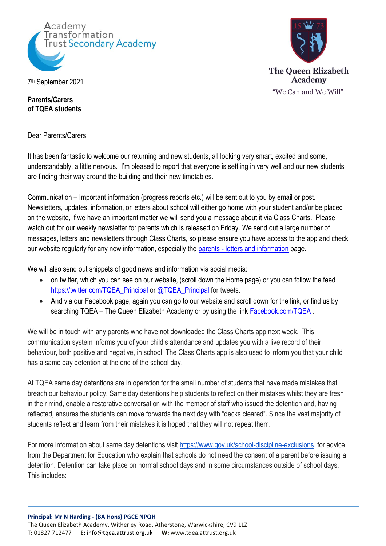



**The Oueen Elizabeth Academy** "We Can and We Will"

**Parents/Carers of TQEA students**

Dear Parents/Carers

It has been fantastic to welcome our returning and new students, all looking very smart, excited and some, understandably, a little nervous. I'm pleased to report that everyone is settling in very well and our new students are finding their way around the building and their new timetables.

Communication – Important information (progress reports etc.) will be sent out to you by email or post. Newsletters, updates, information, or letters about school will either go home with your student and/or be placed on the website, if we have an important matter we will send you a message about it via Class Charts. Please watch out for our weekly newsletter for parents which is released on Friday. We send out a large number of messages, letters and newsletters through Class Charts, so please ensure you have access to the app and check our website regularly for any new information, especially the parents - [letters and information](https://tqea.attrust.org.uk/parents/letters-information-for-parents/) page.

We will also send out snippets of good news and information via social media:

- on twitter, which you can see on our website, (scroll down the Home page) or you can follow the feed [https://twitter.com/TQEA\\_Principal](https://twitter.com/TQEA_Principal) or @TQEA\_Principal for tweets.
- And via our Facebook page, again you can go to our website and scroll down for the link, or find us by searching TQEA – The Queen Elizabeth Academy or by using the link **Facebook.com/TQEA**.

We will be in touch with any parents who have not downloaded the Class Charts app next week. This communication system informs you of your child's attendance and updates you with a live record of their behaviour, both positive and negative, in school. The Class Charts app is also used to inform you that your child has a same day detention at the end of the school day.

At TQEA same day detentions are in operation for the small number of students that have made mistakes that breach our behaviour policy. Same day detentions help students to reflect on their mistakes whilst they are fresh in their mind, enable a restorative conversation with the member of staff who issued the detention and, having reflected, ensures the students can move forwards the next day with "decks cleared". Since the vast majority of students reflect and learn from their mistakes it is hoped that they will not repeat them.

For more information about same day detentions visit<https://www.gov.uk/school-discipline-exclusions>for advice from the Department for Education who explain that schools do not need the consent of a parent before issuing a detention. Detention can take place on normal school days and in some circumstances outside of school days. This includes: